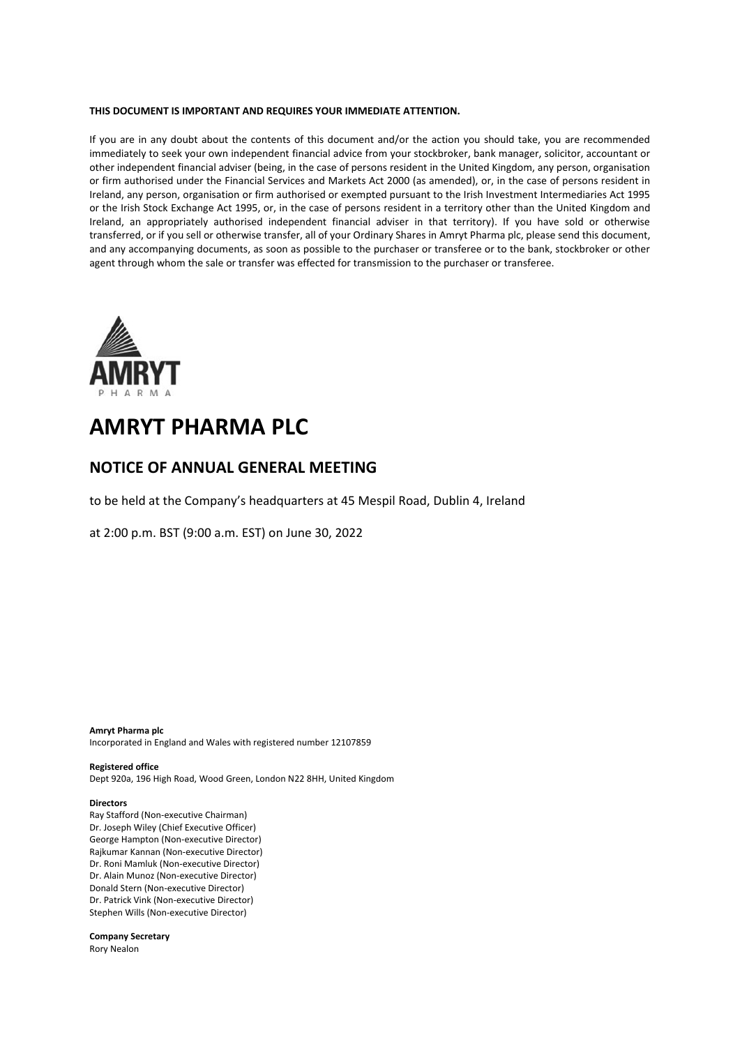#### **THIS DOCUMENT IS IMPORTANT AND REQUIRES YOUR IMMEDIATE ATTENTION.**

If you are in any doubt about the contents of this document and/or the action you should take, you are recommended immediately to seek your own independent financial advice from your stockbroker, bank manager, solicitor, accountant or other independent financial adviser (being, in the case of persons resident in the United Kingdom, any person, organisation or firm authorised under the Financial Services and Markets Act 2000 (as amended), or, in the case of persons resident in Ireland, any person, organisation or firm authorised or exempted pursuant to the Irish Investment Intermediaries Act 1995 or the Irish Stock Exchange Act 1995, or, in the case of persons resident in a territory other than the United Kingdom and Ireland, an appropriately authorised independent financial adviser in that territory). If you have sold or otherwise transferred, or if you sell or otherwise transfer, all of your Ordinary Shares in Amryt Pharma plc, please send this document, and any accompanying documents, as soon as possible to the purchaser or transferee or to the bank, stockbroker or other agent through whom the sale or transfer was effected for transmission to the purchaser or transferee.



# **AMRYT PHARMA PLC**

## **NOTICE OF ANNUAL GENERAL MEETING**

to be held at the Company's headquarters at 45 Mespil Road, Dublin 4, Ireland

at 2:00 p.m. BST (9:00 a.m. EST) on June 30, 2022

**Amryt Pharma plc** Incorporated in England and Wales with registered number 12107859

#### **Registered office**

Dept 920a, 196 High Road, Wood Green, London N22 8HH, United Kingdom

#### **Directors**

Ray Stafford (Non-executive Chairman) Dr. Joseph Wiley (Chief Executive Officer) George Hampton (Non-executive Director) Rajkumar Kannan (Non-executive Director) Dr. Roni Mamluk (Non-executive Director) Dr. Alain Munoz (Non-executive Director) Donald Stern (Non-executive Director) Dr. Patrick Vink (Non-executive Director) Stephen Wills (Non-executive Director)

**Company Secretary** Rory Nealon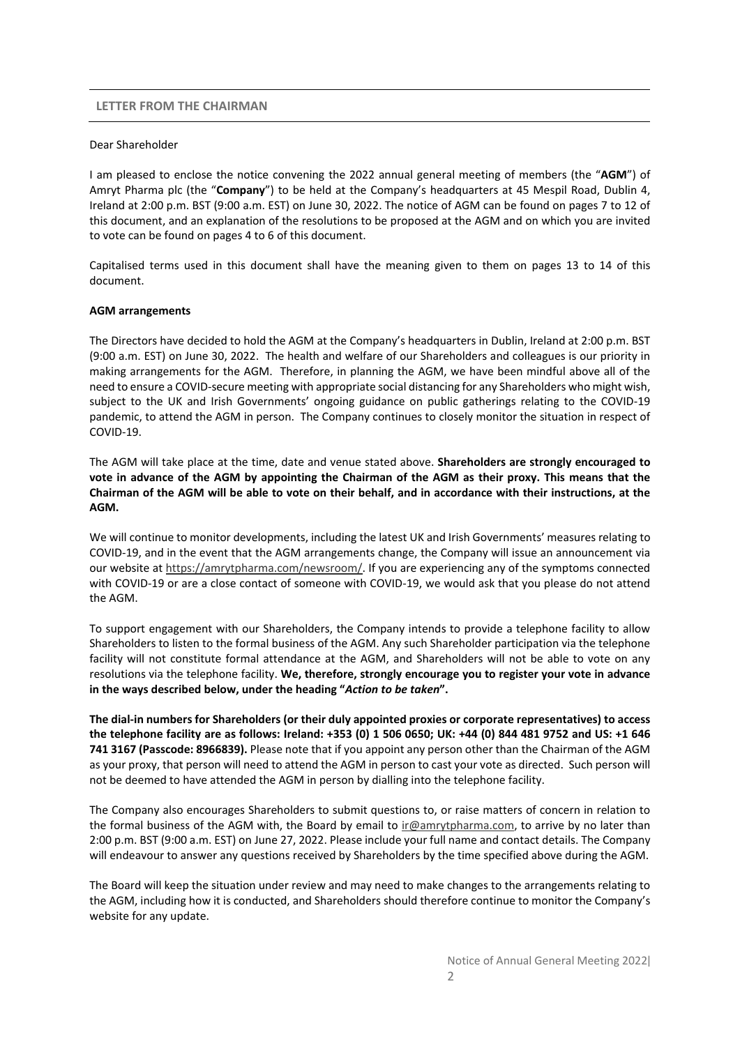### **LETTER FROM THE CHAIRMAN**

#### Dear Shareholder

I am pleased to enclose the notice convening the 2022 annual general meeting of members (the "**AGM**") of Amryt Pharma plc (the "**Company**") to be held at the Company's headquarters at 45 Mespil Road, Dublin 4, Ireland at 2:00 p.m. BST (9:00 a.m. EST) on June 30, 2022. The notice of AGM can be found on pages 7 to 12 of this document, and an explanation of the resolutions to be proposed at the AGM and on which you are invited to vote can be found on pages 4 to 6 of this document.

Capitalised terms used in this document shall have the meaning given to them on pages 13 to 14 of this document.

### **AGM arrangements**

The Directors have decided to hold the AGM at the Company's headquarters in Dublin, Ireland at 2:00 p.m. BST (9:00 a.m. EST) on June 30, 2022. The health and welfare of our Shareholders and colleagues is our priority in making arrangements for the AGM. Therefore, in planning the AGM, we have been mindful above all of the need to ensure a COVID-secure meeting with appropriate social distancing for any Shareholders who might wish, subject to the UK and Irish Governments' ongoing guidance on public gatherings relating to the COVID-19 pandemic, to attend the AGM in person. The Company continues to closely monitor the situation in respect of COVID-19.

The AGM will take place at the time, date and venue stated above. **Shareholders are strongly encouraged to vote in advance of the AGM by appointing the Chairman of the AGM as their proxy. This means that the Chairman of the AGM will be able to vote on their behalf, and in accordance with their instructions, at the AGM.** 

We will continue to monitor developments, including the latest UK and Irish Governments' measures relating to COVID-19, and in the event that the AGM arrangements change, the Company will issue an announcement via our website at https://amrytpharma.com/newsroom/. If you are experiencing any of the symptoms connected with COVID-19 or are a close contact of someone with COVID-19, we would ask that you please do not attend the AGM.

To support engagement with our Shareholders, the Company intends to provide a telephone facility to allow Shareholders to listen to the formal business of the AGM. Any such Shareholder participation via the telephone facility will not constitute formal attendance at the AGM, and Shareholders will not be able to vote on any resolutions via the telephone facility. **We, therefore, strongly encourage you to register your vote in advance in the ways described below, under the heading "***Action to be taken***".** 

**The dial-in numbers for Shareholders (or their duly appointed proxies or corporate representatives) to access the telephone facility are as follows: Ireland: +353 (0) 1 506 0650; UK: +44 (0) 844 481 9752 and US: +1 646 741 3167 (Passcode: 8966839).** Please note that if you appoint any person other than the Chairman of the AGM as your proxy, that person will need to attend the AGM in person to cast your vote as directed. Such person will not be deemed to have attended the AGM in person by dialling into the telephone facility.

The Company also encourages Shareholders to submit questions to, or raise matters of concern in relation to the formal business of the AGM with, the Board by email to ir@amrytpharma.com, to arrive by no later than 2:00 p.m. BST (9:00 a.m. EST) on June 27, 2022. Please include your full name and contact details. The Company will endeavour to answer any questions received by Shareholders by the time specified above during the AGM.

The Board will keep the situation under review and may need to make changes to the arrangements relating to the AGM, including how it is conducted, and Shareholders should therefore continue to monitor the Company's website for any update.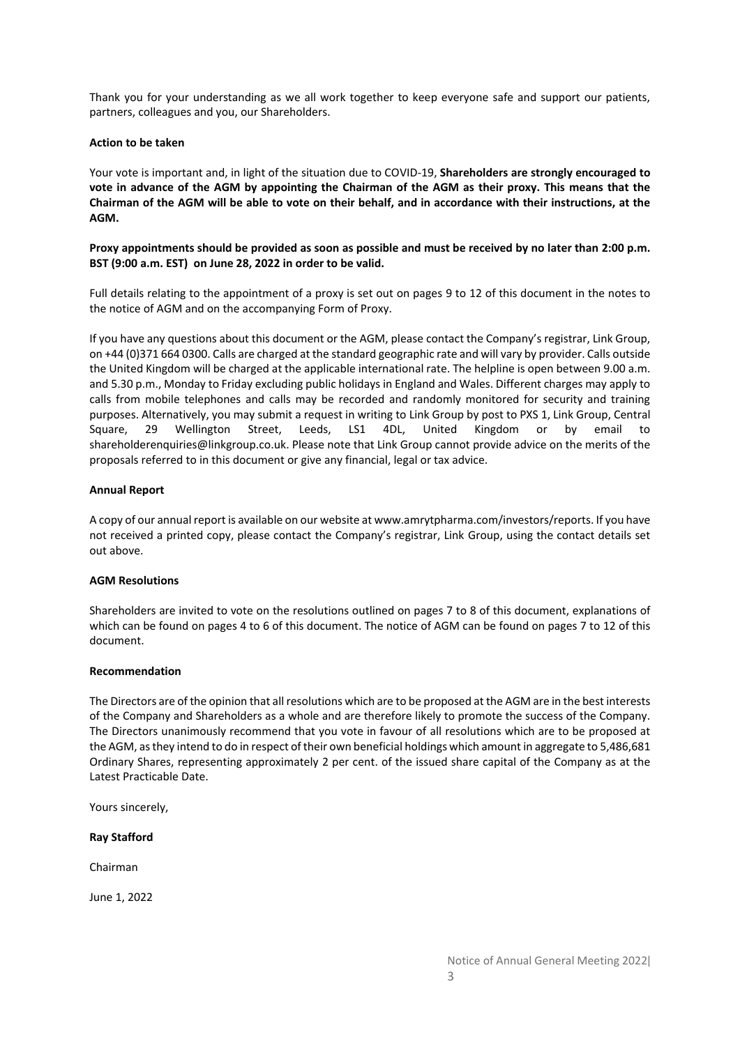Thank you for your understanding as we all work together to keep everyone safe and support our patients, partners, colleagues and you, our Shareholders.

## **Action to be taken**

Your vote is important and, in light of the situation due to COVID-19, **Shareholders are strongly encouraged to vote in advance of the AGM by appointing the Chairman of the AGM as their proxy. This means that the Chairman of the AGM will be able to vote on their behalf, and in accordance with their instructions, at the AGM.**

**Proxy appointments should be provided as soon as possible and must be received by no later than 2:00 p.m. BST (9:00 a.m. EST) on June 28, 2022 in order to be valid.** 

Full details relating to the appointment of a proxy is set out on pages 9 to 12 of this document in the notes to the notice of AGM and on the accompanying Form of Proxy.

If you have any questions about this document or the AGM, please contact the Company's registrar, Link Group, on +44 (0)371 664 0300. Calls are charged at the standard geographic rate and will vary by provider. Calls outside the United Kingdom will be charged at the applicable international rate. The helpline is open between 9.00 a.m. and 5.30 p.m., Monday to Friday excluding public holidays in England and Wales. Different charges may apply to calls from mobile telephones and calls may be recorded and randomly monitored for security and training purposes. Alternatively, you may submit a request in writing to Link Group by post to PXS 1, Link Group, Central Square, 29 Wellington Street, Leeds, LS1 4DL, United Kingdom or by email to shareholderenquiries@linkgroup.co.uk. Please note that Link Group cannot provide advice on the merits of the proposals referred to in this document or give any financial, legal or tax advice.

## **Annual Report**

A copy of our annual report is available on our website at www.amrytpharma.com/investors/reports. If you have not received a printed copy, please contact the Company's registrar, Link Group, using the contact details set out above.

## **AGM Resolutions**

Shareholders are invited to vote on the resolutions outlined on pages 7 to 8 of this document, explanations of which can be found on pages 4 to 6 of this document. The notice of AGM can be found on pages 7 to 12 of this document.

#### **Recommendation**

The Directors are of the opinion that all resolutions which are to be proposed at the AGM are in the best interests of the Company and Shareholders as a whole and are therefore likely to promote the success of the Company. The Directors unanimously recommend that you vote in favour of all resolutions which are to be proposed at the AGM, as they intend to do in respect of their own beneficial holdings which amount in aggregate to 5,486,681 Ordinary Shares, representing approximately 2 per cent. of the issued share capital of the Company as at the Latest Practicable Date.

Yours sincerely,

#### **Ray Stafford**

Chairman

June 1, 2022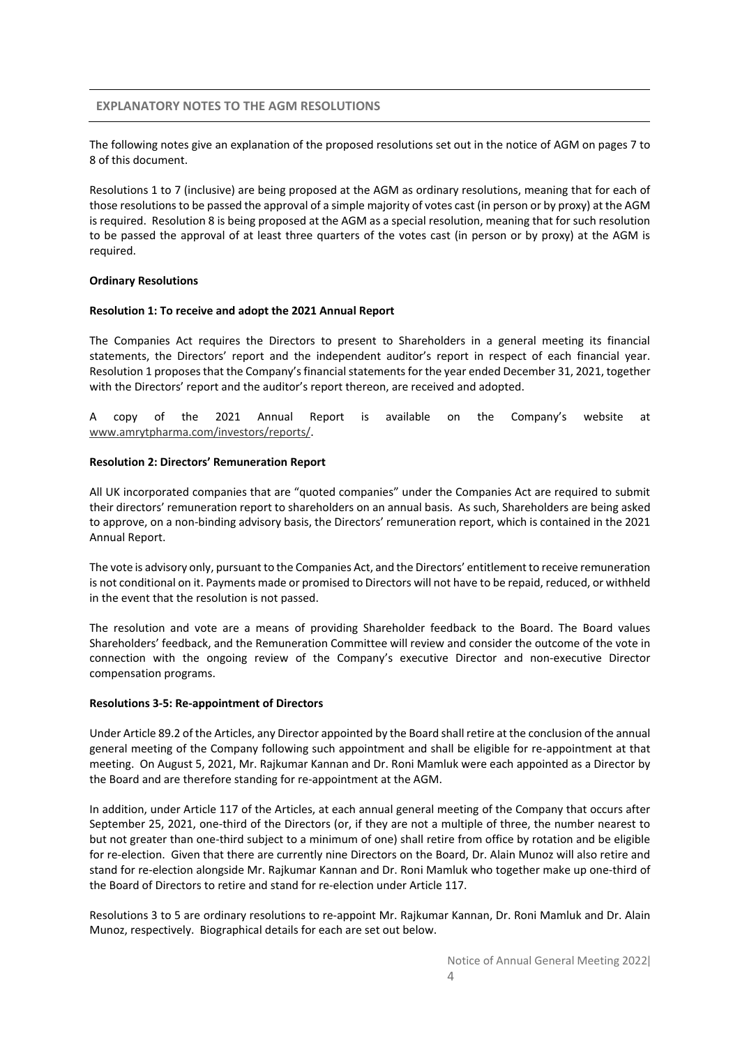## **EXPLANATORY NOTES TO THE AGM RESOLUTIONS**

The following notes give an explanation of the proposed resolutions set out in the notice of AGM on pages 7 to 8 of this document.

Resolutions 1 to 7 (inclusive) are being proposed at the AGM as ordinary resolutions, meaning that for each of those resolutions to be passed the approval of a simple majority of votes cast (in person or by proxy) at the AGM is required. Resolution 8 is being proposed at the AGM as a special resolution, meaning that for such resolution to be passed the approval of at least three quarters of the votes cast (in person or by proxy) at the AGM is required.

#### **Ordinary Resolutions**

#### **Resolution 1: To receive and adopt the 2021 Annual Report**

The Companies Act requires the Directors to present to Shareholders in a general meeting its financial statements, the Directors' report and the independent auditor's report in respect of each financial year. Resolution 1 proposes that the Company's financial statements for the year ended December 31, 2021, together with the Directors' report and the auditor's report thereon, are received and adopted.

A copy of the 2021 Annual Report is available on the Company's website at www.amrytpharma.com/investors/reports/.

### **Resolution 2: Directors' Remuneration Report**

All UK incorporated companies that are "quoted companies" under the Companies Act are required to submit their directors' remuneration report to shareholders on an annual basis. As such, Shareholders are being asked to approve, on a non-binding advisory basis, the Directors' remuneration report, which is contained in the 2021 Annual Report.

The vote is advisory only, pursuant to the Companies Act, and the Directors' entitlement to receive remuneration is not conditional on it. Payments made or promised to Directors will not have to be repaid, reduced, or withheld in the event that the resolution is not passed.

The resolution and vote are a means of providing Shareholder feedback to the Board. The Board values Shareholders' feedback, and the Remuneration Committee will review and consider the outcome of the vote in connection with the ongoing review of the Company's executive Director and non-executive Director compensation programs.

#### **Resolutions 3-5: Re-appointment of Directors**

Under Article 89.2 of the Articles, any Director appointed by the Board shall retire at the conclusion of the annual general meeting of the Company following such appointment and shall be eligible for re-appointment at that meeting. On August 5, 2021, Mr. Rajkumar Kannan and Dr. Roni Mamluk were each appointed as a Director by the Board and are therefore standing for re-appointment at the AGM.

In addition, under Article 117 of the Articles, at each annual general meeting of the Company that occurs after September 25, 2021, one-third of the Directors (or, if they are not a multiple of three, the number nearest to but not greater than one-third subject to a minimum of one) shall retire from office by rotation and be eligible for re-election. Given that there are currently nine Directors on the Board, Dr. Alain Munoz will also retire and stand for re-election alongside Mr. Rajkumar Kannan and Dr. Roni Mamluk who together make up one-third of the Board of Directors to retire and stand for re-election under Article 117.

Resolutions 3 to 5 are ordinary resolutions to re-appoint Mr. Rajkumar Kannan, Dr. Roni Mamluk and Dr. Alain Munoz, respectively. Biographical details for each are set out below.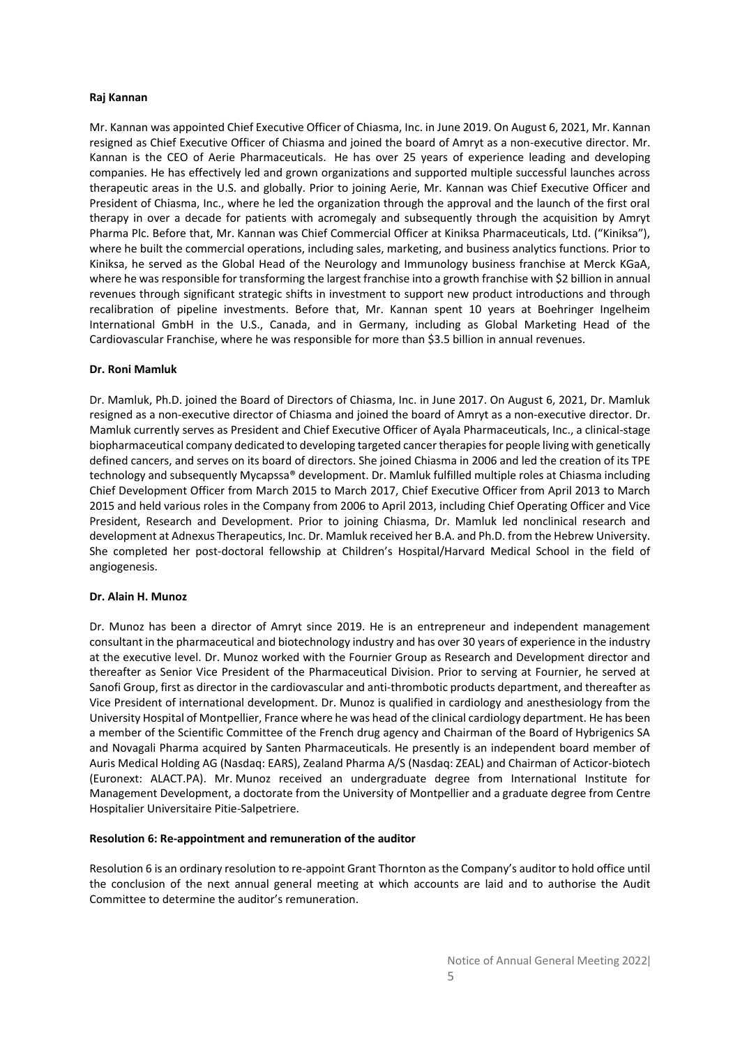## **Raj Kannan**

Mr. Kannan was appointed Chief Executive Officer of Chiasma, Inc. in June 2019. On August 6, 2021, Mr. Kannan resigned as Chief Executive Officer of Chiasma and joined the board of Amryt as a non-executive director. Mr. Kannan is the CEO of Aerie Pharmaceuticals. He has over 25 years of experience leading and developing companies. He has effectively led and grown organizations and supported multiple successful launches across therapeutic areas in the U.S. and globally. Prior to joining Aerie, Mr. Kannan was Chief Executive Officer and President of Chiasma, Inc., where he led the organization through the approval and the launch of the first oral therapy in over a decade for patients with acromegaly and subsequently through the acquisition by Amryt Pharma Plc. Before that, Mr. Kannan was Chief Commercial Officer at Kiniksa Pharmaceuticals, Ltd. ("Kiniksa"), where he built the commercial operations, including sales, marketing, and business analytics functions. Prior to Kiniksa, he served as the Global Head of the Neurology and Immunology business franchise at Merck KGaA, where he was responsible for transforming the largest franchise into a growth franchise with \$2 billion in annual revenues through significant strategic shifts in investment to support new product introductions and through recalibration of pipeline investments. Before that, Mr. Kannan spent 10 years at Boehringer Ingelheim International GmbH in the U.S., Canada, and in Germany, including as Global Marketing Head of the Cardiovascular Franchise, where he was responsible for more than \$3.5 billion in annual revenues.

### **Dr. Roni Mamluk**

Dr. Mamluk, Ph.D. joined the Board of Directors of Chiasma, Inc. in June 2017. On August 6, 2021, Dr. Mamluk resigned as a non-executive director of Chiasma and joined the board of Amryt as a non-executive director. Dr. Mamluk currently serves as President and Chief Executive Officer of Ayala Pharmaceuticals, Inc., a clinical-stage biopharmaceutical company dedicated to developing targeted cancer therapies for people living with genetically defined cancers, and serves on its board of directors. She joined Chiasma in 2006 and led the creation of its TPE technology and subsequently Mycapssa® development. Dr. Mamluk fulfilled multiple roles at Chiasma including Chief Development Officer from March 2015 to March 2017, Chief Executive Officer from April 2013 to March 2015 and held various roles in the Company from 2006 to April 2013, including Chief Operating Officer and Vice President, Research and Development. Prior to joining Chiasma, Dr. Mamluk led nonclinical research and development at Adnexus Therapeutics, Inc. Dr. Mamluk received her B.A. and Ph.D. from the Hebrew University. She completed her post-doctoral fellowship at Children's Hospital/Harvard Medical School in the field of angiogenesis.

#### **Dr. Alain H. Munoz**

Dr. Munoz has been a director of Amryt since 2019. He is an entrepreneur and independent management consultant in the pharmaceutical and biotechnology industry and has over 30 years of experience in the industry at the executive level. Dr. Munoz worked with the Fournier Group as Research and Development director and thereafter as Senior Vice President of the Pharmaceutical Division. Prior to serving at Fournier, he served at Sanofi Group, first as director in the cardiovascular and anti-thrombotic products department, and thereafter as Vice President of international development. Dr. Munoz is qualified in cardiology and anesthesiology from the University Hospital of Montpellier, France where he was head of the clinical cardiology department. He has been a member of the Scientific Committee of the French drug agency and Chairman of the Board of Hybrigenics SA and Novagali Pharma acquired by Santen Pharmaceuticals. He presently is an independent board member of Auris Medical Holding AG (Nasdaq: EARS), Zealand Pharma A/S (Nasdaq: ZEAL) and Chairman of Acticor-biotech (Euronext: ALACT.PA). Mr. Munoz received an undergraduate degree from International Institute for Management Development, a doctorate from the University of Montpellier and a graduate degree from Centre Hospitalier Universitaire Pitie-Salpetriere.

#### **Resolution 6: Re-appointment and remuneration of the auditor**

Resolution 6 is an ordinary resolution to re-appoint Grant Thornton as the Company's auditor to hold office until the conclusion of the next annual general meeting at which accounts are laid and to authorise the Audit Committee to determine the auditor's remuneration.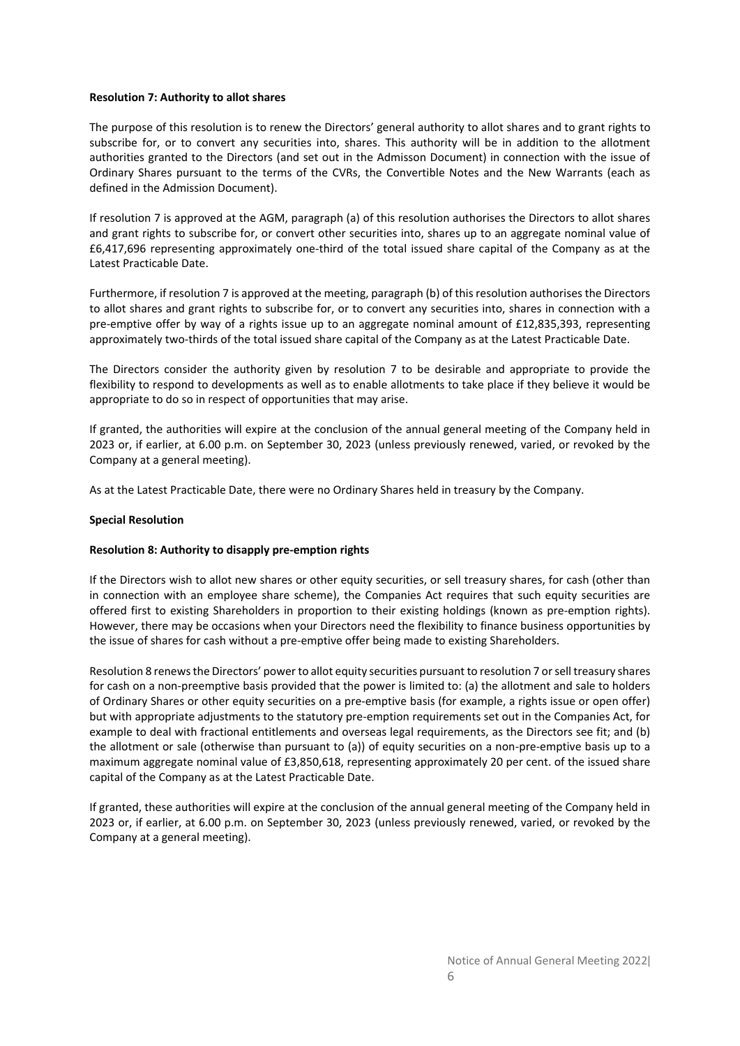## **Resolution 7: Authority to allot shares**

The purpose of this resolution is to renew the Directors' general authority to allot shares and to grant rights to subscribe for, or to convert any securities into, shares. This authority will be in addition to the allotment authorities granted to the Directors (and set out in the Admisson Document) in connection with the issue of Ordinary Shares pursuant to the terms of the CVRs, the Convertible Notes and the New Warrants (each as defined in the Admission Document).

If resolution 7 is approved at the AGM, paragraph (a) of this resolution authorises the Directors to allot shares and grant rights to subscribe for, or convert other securities into, shares up to an aggregate nominal value of £6,417,696 representing approximately one-third of the total issued share capital of the Company as at the Latest Practicable Date.

Furthermore, if resolution 7 is approved at the meeting, paragraph (b) of this resolution authorises the Directors to allot shares and grant rights to subscribe for, or to convert any securities into, shares in connection with a pre-emptive offer by way of a rights issue up to an aggregate nominal amount of £12,835,393, representing approximately two-thirds of the total issued share capital of the Company as at the Latest Practicable Date.

The Directors consider the authority given by resolution 7 to be desirable and appropriate to provide the flexibility to respond to developments as well as to enable allotments to take place if they believe it would be appropriate to do so in respect of opportunities that may arise.

If granted, the authorities will expire at the conclusion of the annual general meeting of the Company held in 2023 or, if earlier, at 6.00 p.m. on September 30, 2023 (unless previously renewed, varied, or revoked by the Company at a general meeting).

As at the Latest Practicable Date, there were no Ordinary Shares held in treasury by the Company.

## **Special Resolution**

## **Resolution 8: Authority to disapply pre-emption rights**

If the Directors wish to allot new shares or other equity securities, or sell treasury shares, for cash (other than in connection with an employee share scheme), the Companies Act requires that such equity securities are offered first to existing Shareholders in proportion to their existing holdings (known as pre-emption rights). However, there may be occasions when your Directors need the flexibility to finance business opportunities by the issue of shares for cash without a pre-emptive offer being made to existing Shareholders.

Resolution 8 renews the Directors' power to allot equity securities pursuant to resolution 7 or sell treasury shares for cash on a non-preemptive basis provided that the power is limited to: (a) the allotment and sale to holders of Ordinary Shares or other equity securities on a pre-emptive basis (for example, a rights issue or open offer) but with appropriate adjustments to the statutory pre-emption requirements set out in the Companies Act, for example to deal with fractional entitlements and overseas legal requirements, as the Directors see fit; and (b) the allotment or sale (otherwise than pursuant to (a)) of equity securities on a non-pre-emptive basis up to a maximum aggregate nominal value of £3,850,618, representing approximately 20 per cent. of the issued share capital of the Company as at the Latest Practicable Date.

If granted, these authorities will expire at the conclusion of the annual general meeting of the Company held in 2023 or, if earlier, at 6.00 p.m. on September 30, 2023 (unless previously renewed, varied, or revoked by the Company at a general meeting).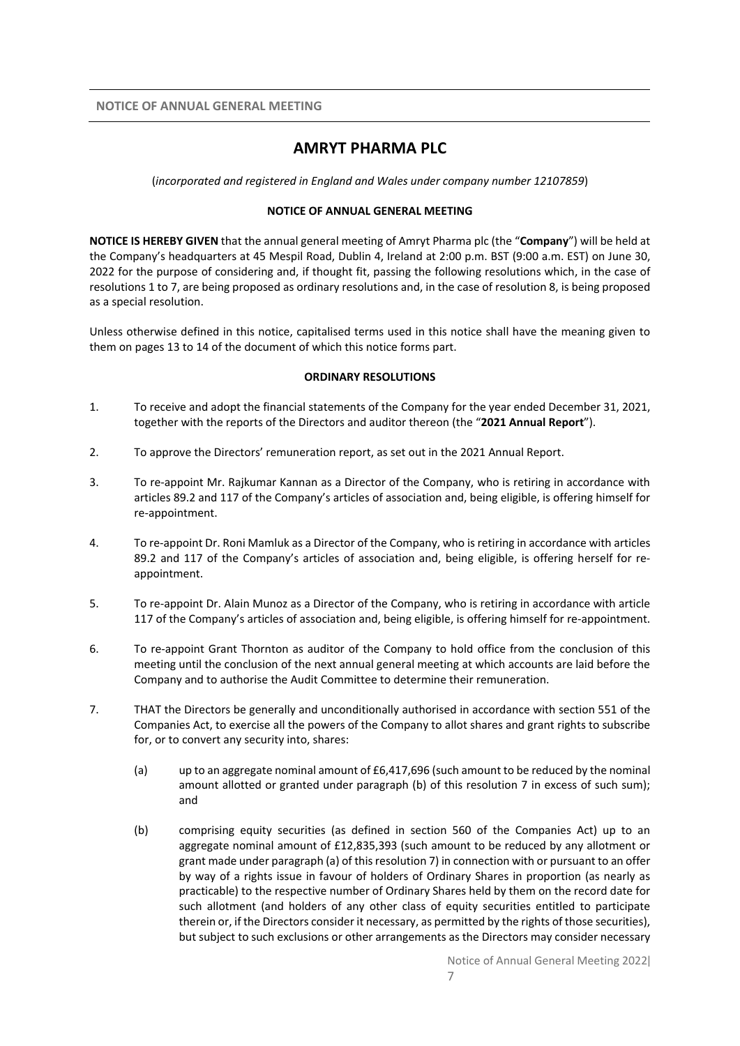# **AMRYT PHARMA PLC**

(*incorporated and registered in England and Wales under company number 12107859*)

## **NOTICE OF ANNUAL GENERAL MEETING**

**NOTICE IS HEREBY GIVEN** that the annual general meeting of Amryt Pharma plc (the "**Company**") will be held at the Company's headquarters at 45 Mespil Road, Dublin 4, Ireland at 2:00 p.m. BST (9:00 a.m. EST) on June 30, 2022 for the purpose of considering and, if thought fit, passing the following resolutions which, in the case of resolutions 1 to 7, are being proposed as ordinary resolutions and, in the case of resolution 8, is being proposed as a special resolution.

Unless otherwise defined in this notice, capitalised terms used in this notice shall have the meaning given to them on pages 13 to 14 of the document of which this notice forms part.

## **ORDINARY RESOLUTIONS**

- 1. To receive and adopt the financial statements of the Company for the year ended December 31, 2021, together with the reports of the Directors and auditor thereon (the "**2021 Annual Report**").
- 2. To approve the Directors' remuneration report, as set out in the 2021 Annual Report.
- 3. To re-appoint Mr. Rajkumar Kannan as a Director of the Company, who is retiring in accordance with articles 89.2 and 117 of the Company's articles of association and, being eligible, is offering himself for re-appointment.
- 4. To re-appoint Dr. Roni Mamluk as a Director of the Company, who is retiring in accordance with articles 89.2 and 117 of the Company's articles of association and, being eligible, is offering herself for reappointment.
- 5. To re-appoint Dr. Alain Munoz as a Director of the Company, who is retiring in accordance with article 117 of the Company's articles of association and, being eligible, is offering himself for re-appointment.
- 6. To re-appoint Grant Thornton as auditor of the Company to hold office from the conclusion of this meeting until the conclusion of the next annual general meeting at which accounts are laid before the Company and to authorise the Audit Committee to determine their remuneration.
- 7. THAT the Directors be generally and unconditionally authorised in accordance with section 551 of the Companies Act, to exercise all the powers of the Company to allot shares and grant rights to subscribe for, or to convert any security into, shares:
	- (a) up to an aggregate nominal amount of  $£6,417,696$  (such amount to be reduced by the nominal amount allotted or granted under paragraph (b) of this resolution 7 in excess of such sum): and
	- (b) comprising equity securities (as defined in section 560 of the Companies Act) up to an aggregate nominal amount of £12,835,393 (such amount to be reduced by any allotment or grant made under paragraph (a) of this resolution 7) in connection with or pursuant to an offer by way of a rights issue in favour of holders of Ordinary Shares in proportion (as nearly as practicable) to the respective number of Ordinary Shares held by them on the record date for such allotment (and holders of any other class of equity securities entitled to participate therein or, if the Directors consider it necessary, as permitted by the rights of those securities), but subject to such exclusions or other arrangements as the Directors may consider necessary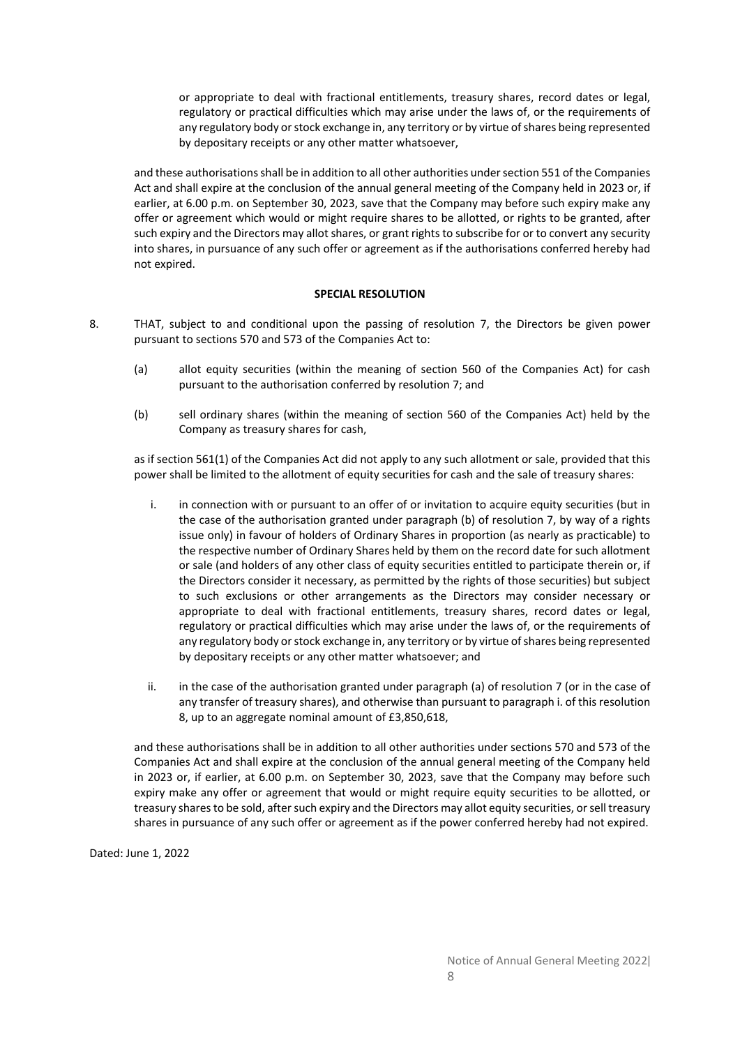or appropriate to deal with fractional entitlements, treasury shares, record dates or legal, regulatory or practical difficulties which may arise under the laws of, or the requirements of any regulatory body or stock exchange in, any territory or by virtue of shares being represented by depositary receipts or any other matter whatsoever,

and these authorisations shall be in addition to all other authorities under section 551 of the Companies Act and shall expire at the conclusion of the annual general meeting of the Company held in 2023 or, if earlier, at 6.00 p.m. on September 30, 2023, save that the Company may before such expiry make any offer or agreement which would or might require shares to be allotted, or rights to be granted, after such expiry and the Directors may allot shares, or grant rights to subscribe for or to convert any security into shares, in pursuance of any such offer or agreement as if the authorisations conferred hereby had not expired.

## **SPECIAL RESOLUTION**

- 8. THAT, subject to and conditional upon the passing of resolution 7, the Directors be given power pursuant to sections 570 and 573 of the Companies Act to:
	- (a) allot equity securities (within the meaning of section 560 of the Companies Act) for cash pursuant to the authorisation conferred by resolution 7; and
	- (b) sell ordinary shares (within the meaning of section 560 of the Companies Act) held by the Company as treasury shares for cash,

as if section 561(1) of the Companies Act did not apply to any such allotment or sale, provided that this power shall be limited to the allotment of equity securities for cash and the sale of treasury shares:

- i. in connection with or pursuant to an offer of or invitation to acquire equity securities (but in the case of the authorisation granted under paragraph (b) of resolution 7, by way of a rights issue only) in favour of holders of Ordinary Shares in proportion (as nearly as practicable) to the respective number of Ordinary Shares held by them on the record date for such allotment or sale (and holders of any other class of equity securities entitled to participate therein or, if the Directors consider it necessary, as permitted by the rights of those securities) but subject to such exclusions or other arrangements as the Directors may consider necessary or appropriate to deal with fractional entitlements, treasury shares, record dates or legal, regulatory or practical difficulties which may arise under the laws of, or the requirements of any regulatory body or stock exchange in, any territory or by virtue of shares being represented by depositary receipts or any other matter whatsoever; and
- ii. in the case of the authorisation granted under paragraph (a) of resolution 7 (or in the case of any transfer of treasury shares), and otherwise than pursuant to paragraph i. of this resolution 8, up to an aggregate nominal amount of £3,850,618,

and these authorisations shall be in addition to all other authorities under sections 570 and 573 of the Companies Act and shall expire at the conclusion of the annual general meeting of the Company held in 2023 or, if earlier, at 6.00 p.m. on September 30, 2023, save that the Company may before such expiry make any offer or agreement that would or might require equity securities to be allotted, or treasury shares to be sold, after such expiry and the Directors may allot equity securities, or sell treasury shares in pursuance of any such offer or agreement as if the power conferred hereby had not expired.

Dated: June 1, 2022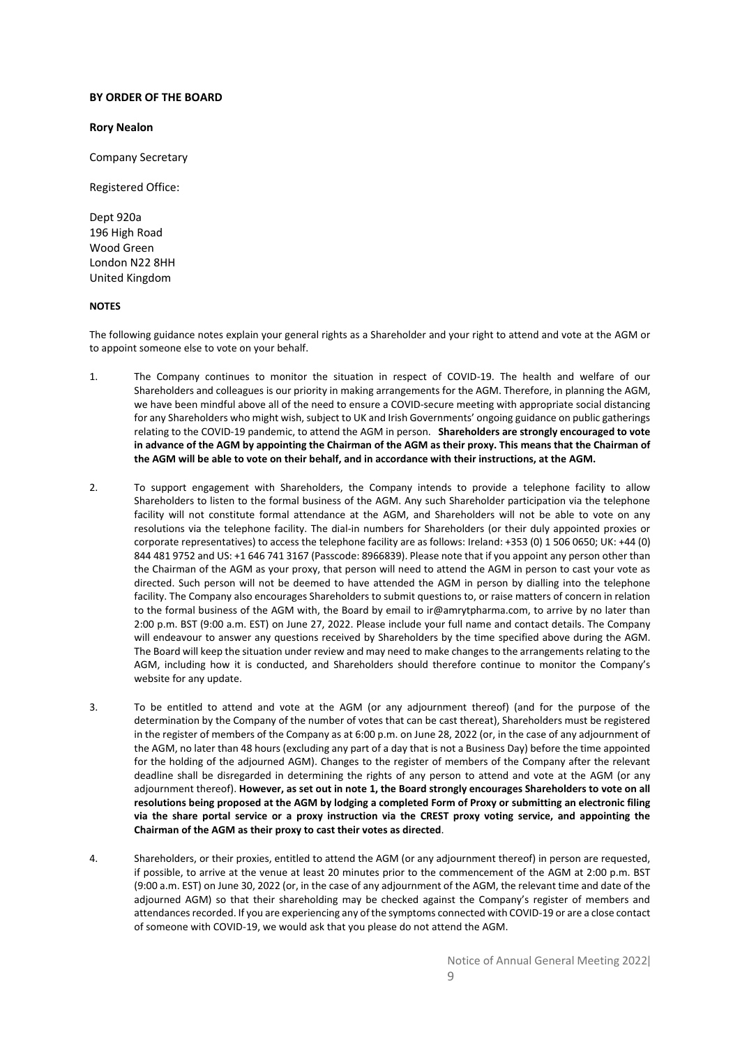#### **BY ORDER OF THE BOARD**

#### **Rory Nealon**

Company Secretary

Registered Office:

Dept 920a 196 High Road Wood Green London N22 8HH United Kingdom

#### **NOTES**

The following guidance notes explain your general rights as a Shareholder and your right to attend and vote at the AGM or to appoint someone else to vote on your behalf.

- 1. The Company continues to monitor the situation in respect of COVID-19. The health and welfare of our Shareholders and colleagues is our priority in making arrangements for the AGM. Therefore, in planning the AGM, we have been mindful above all of the need to ensure a COVID-secure meeting with appropriate social distancing for any Shareholders who might wish, subject to UK and Irish Governments' ongoing guidance on public gatherings relating to the COVID-19 pandemic, to attend the AGM in person. **Shareholders are strongly encouraged to vote in advance of the AGM by appointing the Chairman of the AGM as their proxy. This means that the Chairman of the AGM will be able to vote on their behalf, and in accordance with their instructions, at the AGM.**
- 2. To support engagement with Shareholders, the Company intends to provide a telephone facility to allow Shareholders to listen to the formal business of the AGM. Any such Shareholder participation via the telephone facility will not constitute formal attendance at the AGM, and Shareholders will not be able to vote on any resolutions via the telephone facility. The dial-in numbers for Shareholders (or their duly appointed proxies or corporate representatives) to access the telephone facility are as follows: Ireland: +353 (0) 1 506 0650; UK: +44 (0) 844 481 9752 and US: +1 646 741 3167 (Passcode: 8966839). Please note that if you appoint any person other than the Chairman of the AGM as your proxy, that person will need to attend the AGM in person to cast your vote as directed. Such person will not be deemed to have attended the AGM in person by dialling into the telephone facility. The Company also encourages Shareholders to submit questions to, or raise matters of concern in relation to the formal business of the AGM with, the Board by email to ir@amrytpharma.com, to arrive by no later than 2:00 p.m. BST (9:00 a.m. EST) on June 27, 2022. Please include your full name and contact details. The Company will endeavour to answer any questions received by Shareholders by the time specified above during the AGM. The Board will keep the situation under review and may need to make changes to the arrangements relating to the AGM, including how it is conducted, and Shareholders should therefore continue to monitor the Company's website for any update.
- 3. To be entitled to attend and vote at the AGM (or any adjournment thereof) (and for the purpose of the determination by the Company of the number of votes that can be cast thereat), Shareholders must be registered in the register of members of the Company as at 6:00 p.m. on June 28, 2022 (or, in the case of any adjournment of the AGM, no later than 48 hours (excluding any part of a day that is not a Business Day) before the time appointed for the holding of the adjourned AGM). Changes to the register of members of the Company after the relevant deadline shall be disregarded in determining the rights of any person to attend and vote at the AGM (or any adjournment thereof). **However, as set out in note 1, the Board strongly encourages Shareholders to vote on all resolutions being proposed at the AGM by lodging a completed Form of Proxy or submitting an electronic filing via the share portal service or a proxy instruction via the CREST proxy voting service, and appointing the Chairman of the AGM as their proxy to cast their votes as directed**.
- 4. Shareholders, or their proxies, entitled to attend the AGM (or any adjournment thereof) in person are requested, if possible, to arrive at the venue at least 20 minutes prior to the commencement of the AGM at 2:00 p.m. BST (9:00 a.m. EST) on June 30, 2022 (or, in the case of any adjournment of the AGM, the relevant time and date of the adjourned AGM) so that their shareholding may be checked against the Company's register of members and attendances recorded. If you are experiencing any of the symptoms connected with COVID-19 or are a close contact of someone with COVID-19, we would ask that you please do not attend the AGM.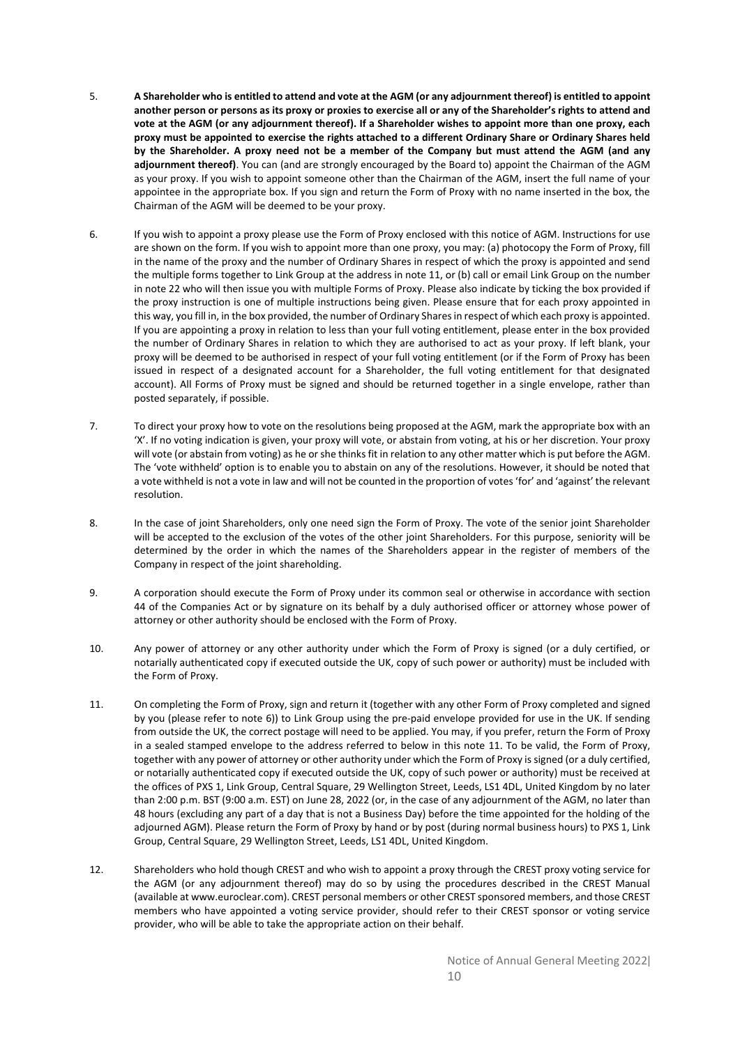- 5. **A Shareholder who is entitled to attend and vote at the AGM (or any adjournment thereof) is entitled to appoint another person or persons as its proxy or proxies to exercise all or any of the Shareholder's rights to attend and vote at the AGM (or any adjournment thereof). If a Shareholder wishes to appoint more than one proxy, each proxy must be appointed to exercise the rights attached to a different Ordinary Share or Ordinary Shares held by the Shareholder. A proxy need not be a member of the Company but must attend the AGM (and any adjournment thereof)**. You can (and are strongly encouraged by the Board to) appoint the Chairman of the AGM as your proxy. If you wish to appoint someone other than the Chairman of the AGM, insert the full name of your appointee in the appropriate box. If you sign and return the Form of Proxy with no name inserted in the box, the Chairman of the AGM will be deemed to be your proxy.
- 6. If you wish to appoint a proxy please use the Form of Proxy enclosed with this notice of AGM. Instructions for use are shown on the form. If you wish to appoint more than one proxy, you may: (a) photocopy the Form of Proxy, fill in the name of the proxy and the number of Ordinary Shares in respect of which the proxy is appointed and send the multiple forms together to Link Group at the address in note 11, or (b) call or email Link Group on the number in note 22 who will then issue you with multiple Forms of Proxy. Please also indicate by ticking the box provided if the proxy instruction is one of multiple instructions being given. Please ensure that for each proxy appointed in this way, you fill in, in the box provided, the number of Ordinary Shares in respect of which each proxy is appointed. If you are appointing a proxy in relation to less than your full voting entitlement, please enter in the box provided the number of Ordinary Shares in relation to which they are authorised to act as your proxy. If left blank, your proxy will be deemed to be authorised in respect of your full voting entitlement (or if the Form of Proxy has been issued in respect of a designated account for a Shareholder, the full voting entitlement for that designated account). All Forms of Proxy must be signed and should be returned together in a single envelope, rather than posted separately, if possible.
- 7. To direct your proxy how to vote on the resolutions being proposed at the AGM, mark the appropriate box with an 'X'. If no voting indication is given, your proxy will vote, or abstain from voting, at his or her discretion. Your proxy will vote (or abstain from voting) as he or she thinks fit in relation to any other matter which is put before the AGM. The 'vote withheld' option is to enable you to abstain on any of the resolutions. However, it should be noted that a vote withheld is not a vote in law and will not be counted in the proportion of votes 'for' and 'against' the relevant resolution.
- 8. In the case of joint Shareholders, only one need sign the Form of Proxy. The vote of the senior joint Shareholder will be accepted to the exclusion of the votes of the other joint Shareholders. For this purpose, seniority will be determined by the order in which the names of the Shareholders appear in the register of members of the Company in respect of the joint shareholding.
- 9. A corporation should execute the Form of Proxy under its common seal or otherwise in accordance with section 44 of the Companies Act or by signature on its behalf by a duly authorised officer or attorney whose power of attorney or other authority should be enclosed with the Form of Proxy.
- 10. Any power of attorney or any other authority under which the Form of Proxy is signed (or a duly certified, or notarially authenticated copy if executed outside the UK, copy of such power or authority) must be included with the Form of Proxy.
- 11. On completing the Form of Proxy, sign and return it (together with any other Form of Proxy completed and signed by you (please refer to note 6)) to Link Group using the pre-paid envelope provided for use in the UK. If sending from outside the UK, the correct postage will need to be applied. You may, if you prefer, return the Form of Proxy in a sealed stamped envelope to the address referred to below in this note 11. To be valid, the Form of Proxy, together with any power of attorney or other authority under which the Form of Proxy is signed (or a duly certified, or notarially authenticated copy if executed outside the UK, copy of such power or authority) must be received at the offices of PXS 1, Link Group, Central Square, 29 Wellington Street, Leeds, LS1 4DL, United Kingdom by no later than 2:00 p.m. BST (9:00 a.m. EST) on June 28, 2022 (or, in the case of any adjournment of the AGM, no later than 48 hours (excluding any part of a day that is not a Business Day) before the time appointed for the holding of the adjourned AGM). Please return the Form of Proxy by hand or by post (during normal business hours) to PXS 1, Link Group, Central Square, 29 Wellington Street, Leeds, LS1 4DL, United Kingdom.
- 12. Shareholders who hold though CREST and who wish to appoint a proxy through the CREST proxy voting service for the AGM (or any adjournment thereof) may do so by using the procedures described in the CREST Manual (available at www.euroclear.com). CREST personal members or other CREST sponsored members, and those CREST members who have appointed a voting service provider, should refer to their CREST sponsor or voting service provider, who will be able to take the appropriate action on their behalf.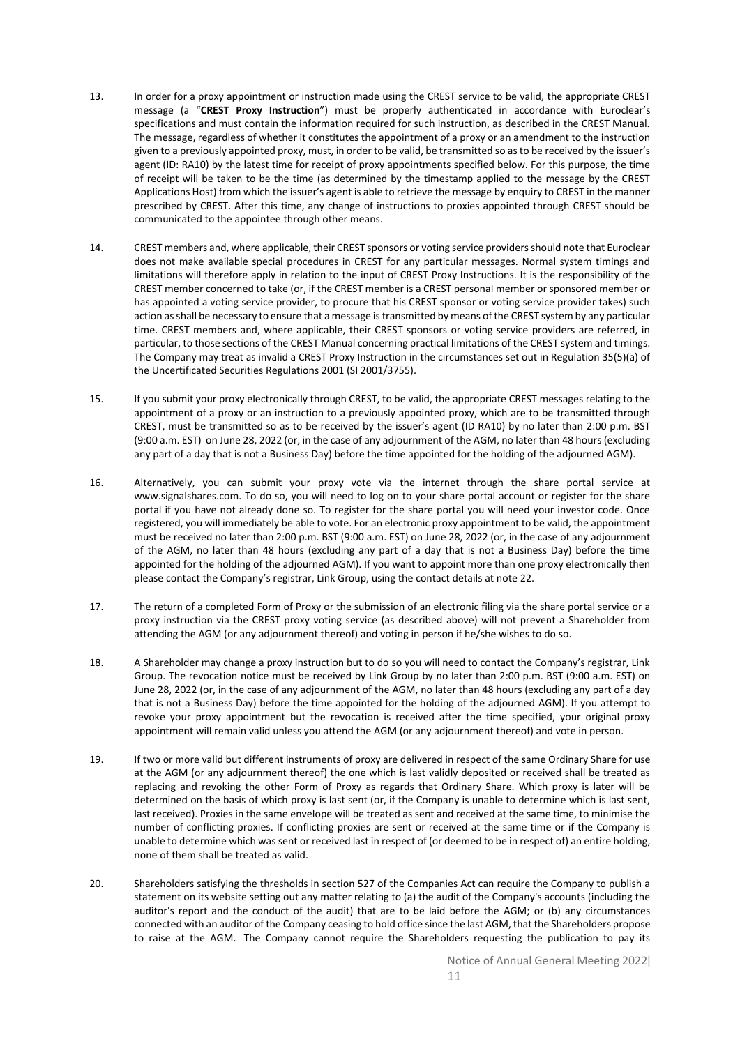- 13. In order for a proxy appointment or instruction made using the CREST service to be valid, the appropriate CREST message (a "**CREST Proxy Instruction**") must be properly authenticated in accordance with Euroclear's specifications and must contain the information required for such instruction, as described in the CREST Manual. The message, regardless of whether it constitutes the appointment of a proxy or an amendment to the instruction given to a previously appointed proxy, must, in order to be valid, be transmitted so as to be received by the issuer's agent (ID: RA10) by the latest time for receipt of proxy appointments specified below. For this purpose, the time of receipt will be taken to be the time (as determined by the timestamp applied to the message by the CREST Applications Host) from which the issuer's agent is able to retrieve the message by enquiry to CREST in the manner prescribed by CREST. After this time, any change of instructions to proxies appointed through CREST should be communicated to the appointee through other means.
- 14. CREST members and, where applicable, their CREST sponsors or voting service providers should note that Euroclear does not make available special procedures in CREST for any particular messages. Normal system timings and limitations will therefore apply in relation to the input of CREST Proxy Instructions. It is the responsibility of the CREST member concerned to take (or, if the CREST member is a CREST personal member or sponsored member or has appointed a voting service provider, to procure that his CREST sponsor or voting service provider takes) such action as shall be necessary to ensure that a message is transmitted by means of the CREST system by any particular time. CREST members and, where applicable, their CREST sponsors or voting service providers are referred, in particular, to those sections of the CREST Manual concerning practical limitations of the CREST system and timings. The Company may treat as invalid a CREST Proxy Instruction in the circumstances set out in Regulation 35(5)(a) of the Uncertificated Securities Regulations 2001 (SI 2001/3755).
- 15. If you submit your proxy electronically through CREST, to be valid, the appropriate CREST messages relating to the appointment of a proxy or an instruction to a previously appointed proxy, which are to be transmitted through CREST, must be transmitted so as to be received by the issuer's agent (ID RA10) by no later than 2:00 p.m. BST (9:00 a.m. EST) on June 28, 2022 (or, in the case of any adjournment of the AGM, no later than 48 hours (excluding any part of a day that is not a Business Day) before the time appointed for the holding of the adjourned AGM).
- 16. Alternatively, you can submit your proxy vote via the internet through the share portal service at www.signalshares.com. To do so, you will need to log on to your share portal account or register for the share portal if you have not already done so. To register for the share portal you will need your investor code. Once registered, you will immediately be able to vote. For an electronic proxy appointment to be valid, the appointment must be received no later than 2:00 p.m. BST (9:00 a.m. EST) on June 28, 2022 (or, in the case of any adjournment of the AGM, no later than 48 hours (excluding any part of a day that is not a Business Day) before the time appointed for the holding of the adjourned AGM). If you want to appoint more than one proxy electronically then please contact the Company's registrar, Link Group, using the contact details at note 22.
- 17. The return of a completed Form of Proxy or the submission of an electronic filing via the share portal service or a proxy instruction via the CREST proxy voting service (as described above) will not prevent a Shareholder from attending the AGM (or any adjournment thereof) and voting in person if he/she wishes to do so.
- 18. A Shareholder may change a proxy instruction but to do so you will need to contact the Company's registrar, Link Group. The revocation notice must be received by Link Group by no later than 2:00 p.m. BST (9:00 a.m. EST) on June 28, 2022 (or, in the case of any adjournment of the AGM, no later than 48 hours (excluding any part of a day that is not a Business Day) before the time appointed for the holding of the adjourned AGM). If you attempt to revoke your proxy appointment but the revocation is received after the time specified, your original proxy appointment will remain valid unless you attend the AGM (or any adjournment thereof) and vote in person.
- 19. If two or more valid but different instruments of proxy are delivered in respect of the same Ordinary Share for use at the AGM (or any adjournment thereof) the one which is last validly deposited or received shall be treated as replacing and revoking the other Form of Proxy as regards that Ordinary Share. Which proxy is later will be determined on the basis of which proxy is last sent (or, if the Company is unable to determine which is last sent, last received). Proxies in the same envelope will be treated as sent and received at the same time, to minimise the number of conflicting proxies. If conflicting proxies are sent or received at the same time or if the Company is unable to determine which was sent or received last in respect of (or deemed to be in respect of) an entire holding, none of them shall be treated as valid.
- 20. Shareholders satisfying the thresholds in section 527 of the Companies Act can require the Company to publish a statement on its website setting out any matter relating to (a) the audit of the Company's accounts (including the auditor's report and the conduct of the audit) that are to be laid before the AGM; or (b) any circumstances connected with an auditor of the Company ceasing to hold office since the last AGM, that the Shareholders propose to raise at the AGM. The Company cannot require the Shareholders requesting the publication to pay its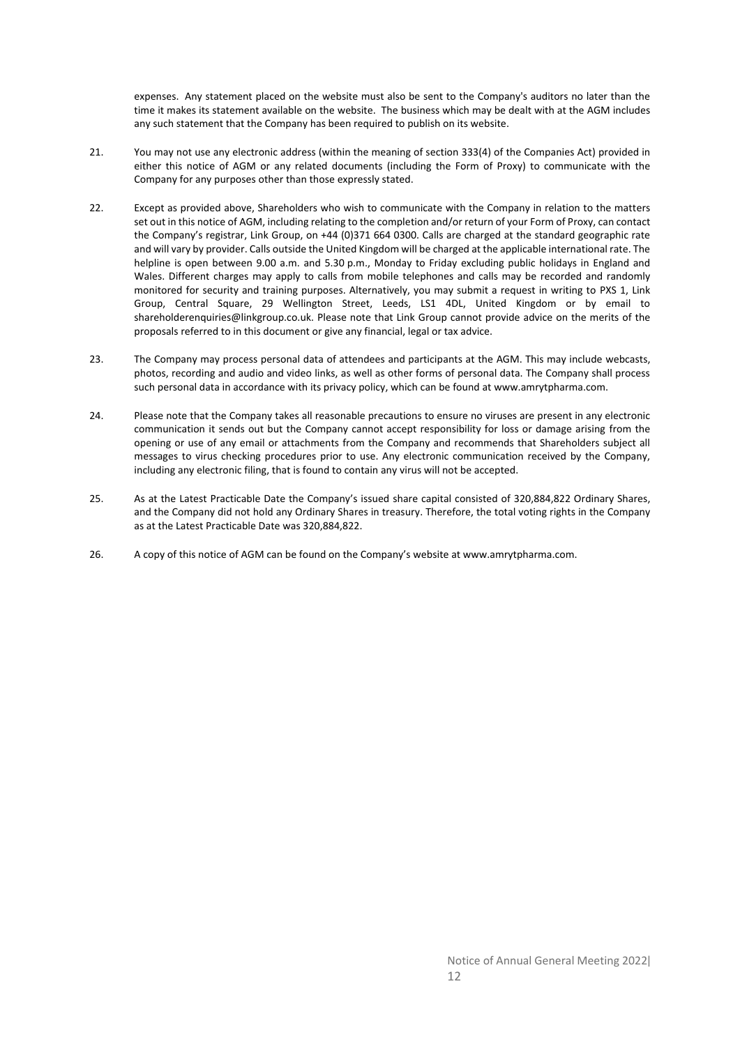expenses. Any statement placed on the website must also be sent to the Company's auditors no later than the time it makes its statement available on the website. The business which may be dealt with at the AGM includes any such statement that the Company has been required to publish on its website.

- 21. You may not use any electronic address (within the meaning of section 333(4) of the Companies Act) provided in either this notice of AGM or any related documents (including the Form of Proxy) to communicate with the Company for any purposes other than those expressly stated.
- 22. Except as provided above, Shareholders who wish to communicate with the Company in relation to the matters set out in this notice of AGM, including relating to the completion and/or return of your Form of Proxy, can contact the Company's registrar, Link Group, on +44 (0)371 664 0300. Calls are charged at the standard geographic rate and will vary by provider. Calls outside the United Kingdom will be charged at the applicable international rate. The helpline is open between 9.00 a.m. and 5.30 p.m., Monday to Friday excluding public holidays in England and Wales. Different charges may apply to calls from mobile telephones and calls may be recorded and randomly monitored for security and training purposes. Alternatively, you may submit a request in writing to PXS 1, Link Group, Central Square, 29 Wellington Street, Leeds, LS1 4DL, United Kingdom or by email to shareholderenquiries@linkgroup.co.uk. Please note that Link Group cannot provide advice on the merits of the proposals referred to in this document or give any financial, legal or tax advice.
- 23. The Company may process personal data of attendees and participants at the AGM. This may include webcasts, photos, recording and audio and video links, as well as other forms of personal data. The Company shall process such personal data in accordance with its privacy policy, which can be found at www.amrytpharma.com.
- 24. Please note that the Company takes all reasonable precautions to ensure no viruses are present in any electronic communication it sends out but the Company cannot accept responsibility for loss or damage arising from the opening or use of any email or attachments from the Company and recommends that Shareholders subject all messages to virus checking procedures prior to use. Any electronic communication received by the Company, including any electronic filing, that is found to contain any virus will not be accepted.
- 25. As at the Latest Practicable Date the Company's issued share capital consisted of 320,884,822 Ordinary Shares, and the Company did not hold any Ordinary Shares in treasury. Therefore, the total voting rights in the Company as at the Latest Practicable Date was 320,884,822.
- 26. A copy of this notice of AGM can be found on the Company's website at www.amrytpharma.com.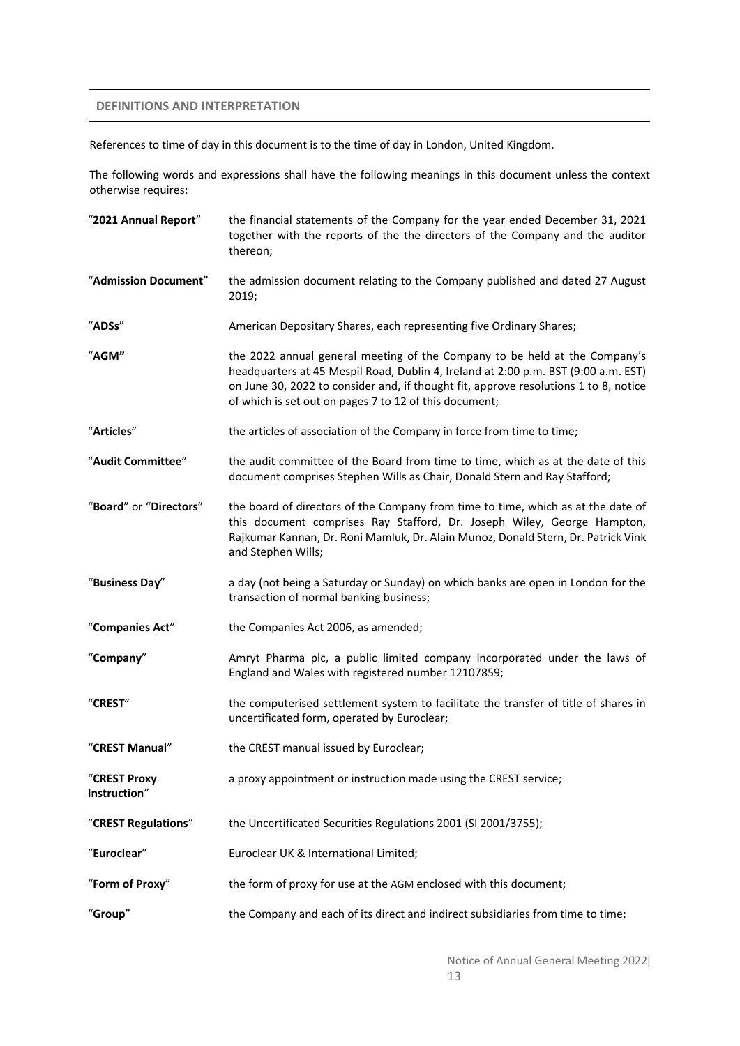## **DEFINITIONS AND INTERPRETATION**

References to time of day in this document is to the time of day in London, United Kingdom.

The following words and expressions shall have the following meanings in this document unless the context otherwise requires:

| "2021 Annual Report"         | the financial statements of the Company for the year ended December 31, 2021<br>together with the reports of the the directors of the Company and the auditor<br>thereon;                                                                                                                                          |
|------------------------------|--------------------------------------------------------------------------------------------------------------------------------------------------------------------------------------------------------------------------------------------------------------------------------------------------------------------|
| "Admission Document"         | the admission document relating to the Company published and dated 27 August<br>2019;                                                                                                                                                                                                                              |
| "ADSs"                       | American Depositary Shares, each representing five Ordinary Shares;                                                                                                                                                                                                                                                |
| "AGM"                        | the 2022 annual general meeting of the Company to be held at the Company's<br>headquarters at 45 Mespil Road, Dublin 4, Ireland at 2:00 p.m. BST (9:00 a.m. EST)<br>on June 30, 2022 to consider and, if thought fit, approve resolutions 1 to 8, notice<br>of which is set out on pages 7 to 12 of this document; |
| "Articles"                   | the articles of association of the Company in force from time to time;                                                                                                                                                                                                                                             |
| "Audit Committee"            | the audit committee of the Board from time to time, which as at the date of this<br>document comprises Stephen Wills as Chair, Donald Stern and Ray Stafford;                                                                                                                                                      |
| "Board" or "Directors"       | the board of directors of the Company from time to time, which as at the date of<br>this document comprises Ray Stafford, Dr. Joseph Wiley, George Hampton,<br>Rajkumar Kannan, Dr. Roni Mamluk, Dr. Alain Munoz, Donald Stern, Dr. Patrick Vink<br>and Stephen Wills;                                             |
| "Business Day"               | a day (not being a Saturday or Sunday) on which banks are open in London for the<br>transaction of normal banking business;                                                                                                                                                                                        |
| "Companies Act"              | the Companies Act 2006, as amended;                                                                                                                                                                                                                                                                                |
| "Company"                    | Amryt Pharma plc, a public limited company incorporated under the laws of<br>England and Wales with registered number 12107859;                                                                                                                                                                                    |
| "CREST"                      | the computerised settlement system to facilitate the transfer of title of shares in<br>uncertificated form, operated by Euroclear;                                                                                                                                                                                 |
| "CREST Manual"               | the CREST manual issued by Euroclear;                                                                                                                                                                                                                                                                              |
| "CREST Proxy<br>Instruction" | a proxy appointment or instruction made using the CREST service;                                                                                                                                                                                                                                                   |
| "CREST Regulations"          | the Uncertificated Securities Regulations 2001 (SI 2001/3755);                                                                                                                                                                                                                                                     |
| "Euroclear"                  | Euroclear UK & International Limited;                                                                                                                                                                                                                                                                              |
| "Form of Proxy"              | the form of proxy for use at the AGM enclosed with this document;                                                                                                                                                                                                                                                  |
| "Group"                      | the Company and each of its direct and indirect subsidiaries from time to time;                                                                                                                                                                                                                                    |